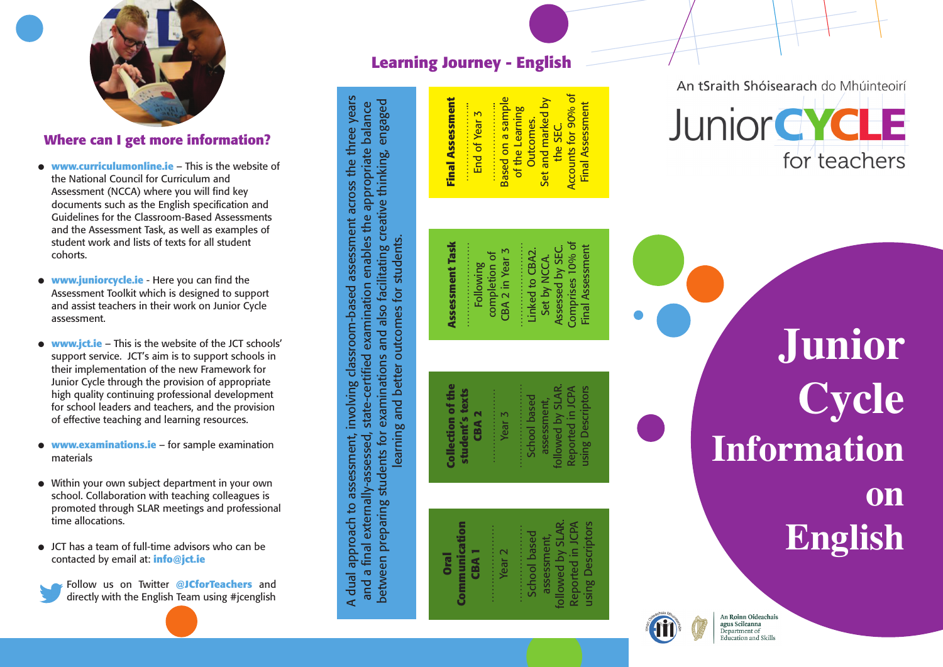

# Where can I get more information?

- **www.curriculumonline.ie – This is the website of** the National Council for Curriculum and Assessment (NCCA) where you will find key documents such as the English specification and Guidelines for the Classroom-Based Assessments and the Assessment Task, as well as examples of student work and lists of texts for all student cohorts.
- **www.juniorcycle.ie** Here you can find the Assessment Toolkit which is designed to support and assist teachers in their work on Junior Cycle assessment.
- **www.jct.ie** This is the website of the JCT schools' support service. JCT's aim is to support schools in their implementation of the new Framework for Junior Cycle through the provision of appropriate high quality continuing professional development for school leaders and teachers, and the provision of effective teaching and learning resources.
- **www.examinations.ie for sample examination** materials
- Within your own subject department in your own school. Collaboration with teaching colleagues is promoted through SLAR meetings and professional time allocations.
- $\bullet$  JCT has a team of full-time advisors who can be contacted by email at: **info@jct.ie**



Follow us on Twitter @JCforTeachers and directly with the English Team using #jcenglish

# Learning Journey - English

**Assessment Task**

**Assessment Task** 

A dual approach to assessment, involving classroom-based assessment across the three years and a final externally-assessed, state-certified examination enables the appropriate balance between preparing students for examinations and also facilitating creative thinking, engaged learning and better outcomes for students.

and a final externally-assessed, state-certified examination enables the appropriate balance

between preparing students for examinations and also facilitating creative thinking, engaged

learning and better outcomes for students.

A dual approach to assessment, involving classroom-based assessment across the three years

**Collection of the student's texts CBA 2**

ollection of th

**Oral Communication CBA 1** …………………

Communication

**Final Assessment** Set and marked by **Final Assessment** ........................<br>Based on a sample Based on a sample Set and marked by ………………….. ………………….. of the Learning ...................<br>End of Year 3 of the Learning End of Year 3 Outcomes. Outcomes. the SEC.

> Comprises 10% of Comprises 10% of Final Assessment …………………… …………………… Assessed by SEC. Final Assessment Assessed by SEC. CBA 2 in Year 3 :::::::::::::::::::::::<br>Linked to CBA2. CBA 2 in Year 3 Linked to CBA2. completion of completion of Set by NCCA. Set by NCCA. **Following**

Accounts for 90% of Final Assessment

**Final Assessment** 

Accounts for 90% of

followed by SLAR.<br>Reported in JCPA followed by SLAR. Reported in JCPA using Descriptors **using Descriptors** School based **School** based assessment, ssessment Year 3

…………………

### followed by SLAR. Reported in JCPA using Descriptors using Descriptors Reported in JCPA ………………… ollowed by SLA School based assessment, School base assessmen Year 2



An tSraith Shóisearach do Mhúinteoirí



**J u n i o r C y c l e** Information **o n** English

An Roinn Oideachais agus Scileanna Department of Education and Skills